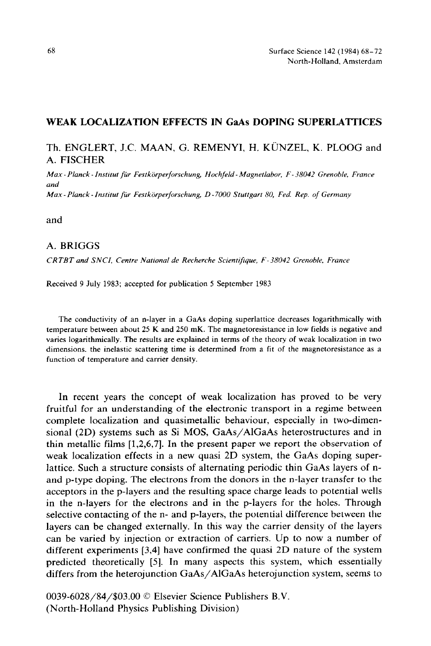## **WEAK LOCALIZATION EFFECTS IN GaAs DOPING SUPERLATTICES**

## Th. ENGLERT, J.C. MAAN, G. REMENYI, H. KÜNZEL, K. PLOOG and A. FISCHER

*Max Planck Instrtut fir Festkiirperforschung Hochfeld Magnetlabor, F 38042 Gremble, France and Max Planck - Institut ftir Festkijrperforschung, D - 7000 Stuttgart 80, Fed. Rep. of Germany* 

and

## A. BRIGGS

*CRTBT and SNCI, Centre National de Recherche Scientifiiyue, F-38042 Grenoble, France* 

Received 9 July 1983; accepted for publication 5 September 1983

The conductivity of an n-layer in a GaAs doping superlattice decreases logarithmically with temperature between about 25 K and 250 mK. The magnetoresistance in low fields is negative and varies logarithmically. The results are explained in terms of the theory of weak localization in two dimensions. the inelastic scattering time is determined from a fit of the magnetoresistance as a function of temperature and carrier density.

In recent years the concept of weak localization has proved to be very fruitful for an understanding of the electronic transport in a regime between complete localization and quasimetallic behaviour, especially in two-dimensional (2D) systems such as Si MOS, GaAs/AlGaAs heterostructures and in thin metallic films [1,2,6,7]. In the present paper we report the observation of weak localization effects in a new quasi 2D system, the GaAs doping superlattice. Such a structure consists of alternating periodic thin GaAs layers of nand p-type doping. The electrons from the donors in the n-layer transfer to the acceptors in the p-layers and the resulting space charge leads to potential wells in the n-layers for the electrons and in the p-layers for the holes. Through selective contacting of the n- and p-layers, the potential difference between the layers can be changed externally. In this way the carrier density of the layers can be varied by injection or extraction of carriers. Up to now a number of different experiments [3,4] have confirmed the quasi 2D nature of the system predicted theoretically [5]. In many aspects this system, which essentially differs from the heterojunction GaAs/AlGaAs heterojunction system, seems to

0039-6028/84/\$03.00 0 Elsevier Science Publishers B.V. (North-Holland Physics Publishing Division)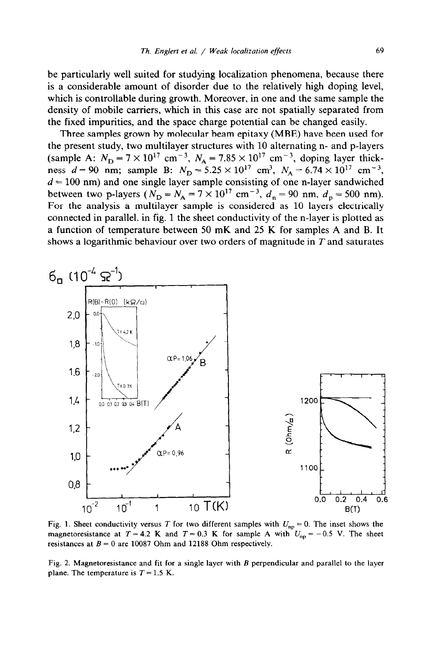be particularly well suited for studying localization phenomena, because there is a considerable amount of disorder due to the relatively high doping level, which is controllable during growth. Moreover, in one and the same sample the density of mobile carriers, which in this case are not spatially separated from the fixed impurities, and the space charge potential can be changed easily.

Three samples grown by molecular beam epitaxy (MBE) have been used for the present study, two multilayer structures with 10 alternating n- and p-layers (sample A:  $N_{\text{D}} = 7 \times 10^{17} \text{ cm}^{-3}$ ,  $N_{\text{A}} = 7.85 \times 10^{17} \text{ cm}^{-3}$ , doping layer thick ness  $d = 90$  nm; sample B:  $N_{\rm p} = 5.25 \times 10^{17}$  cm<sup>3</sup>,  $N_{\rm A} = 6.74 \times 10^{17}$  cm<sup>-3</sup> *d = 100* nm) and one single layer sample consisting of one n-layer sandwiched between two p-layers ( $N_{\rm D} = N_{\rm A} = 7 \times 10^{17}$  cm<sup>-3</sup>,  $d_n = 90$  nm,  $d_p = 500$  nm). For the analysis a multilayer sample is considered as 10 layers electrically connected in parallel. in fig. 1 the sheet conductivity of the n-layer is plotted as a function of temperature between 50 mK and 25 K for samples A and B. It shows a logarithmic behaviour over two orders of magnitude in *T* and saturates



Fig. 1. Sheet conductivity versus T for two different samples with  $U_{np} = 0$ . The inset shows the magnetoresistance at  $T = 4.2$  K and  $T = 0.3$  K for sample A with  $U_{np} = -0.5$  V. The sheet resistances at  $B = 0$  are 10087 Ohm and 12188 Ohm respectively.

Fig. 2. Magnetoresistance and fit for a single layer with B perpendicular and parallel to the layer plane. The temperature is  $T = 1.5$  K.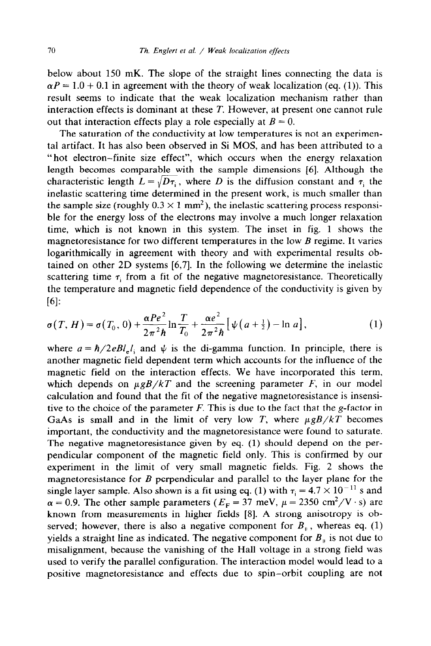below about 150 mK. The slope of the straight lines connecting the data is  $\alpha P = 1.0 + 0.1$  in agreement with the theory of weak localization (eq. (1)). This result seems to indicate that the weak localization mechanism rather than interaction effects is dominant at these *T.* However, at present one cannot rule out that interaction effects play a role especially at  $B = 0$ .

The saturation of the conductivity at low temperatures is not an experimental artifact. It has also been observed in Si MOS, and has been attributed to a "hot electron-finite size effect", which occurs when the energy relaxation length becomes comparable with the sample dimensions [6]. Although the characteristic length  $L = \sqrt{D\tau_i}$ , where *D* is the diffusion constant and  $\tau_i$  the inelastic scattering time determined in the present work, is much smaller than the sample size (roughly  $0.3 \times 1$  mm<sup>2</sup>), the inelastic scattering process responsible for the energy loss of the electrons may involve a much longer relaxation time, which is not known in this system. The inset in fig. 1 shows the magnetoresistance for two different temperatures in the low *B* regime. It varies logarithmically in agreement with theory and with experimental results obtained on other 2D systems [6,7]. In the following we determine the inelastic scattering time  $\tau_i$  from a fit of the negative magnetoresistance. Theoretically the temperature and magnetic field dependence of the conductivity is given by [61:

$$
\sigma(T, H) = \sigma(T_0, 0) + \frac{\alpha P e^2}{2\pi^2 \hbar} \ln \frac{T}{T_0} + \frac{\alpha e^2}{2\pi^2 \hbar} \left[ \psi \left( a + \frac{1}{2} \right) - \ln a \right], \tag{1}
$$

where  $a = \hbar/2eBl_eI_i$  and  $\psi$  is the di-gamma function. In principle, there is another magnetic field dependent term which accounts for the influence of the magnetic field on the interaction effects. We have incorporated this term, which depends on  $\mu g B / kT$  and the screening parameter *F*, in our model calculation and found that the fit of the negative magnetoresistance is insensitive to the choice of the parameter *F.* This is due to the fact that the g-factor in GaAs is small and in the limit of very low *T*, where  $\mu g B/kT$  becomes important, the conductivity and the magnetoresistance were found to saturate. The negative magnetoresistance given by eq. (1) should depend on the perpendicular component of the magnetic field only. This is confirmed by our experiment in the limit of very small magnetic fields. Fig. 2 shows the magnetoresistance for *B* perpendicular and parallel to the layer plane for the single layer sample. Also shown is a fit using eq. (1) with  $\tau_i = 4.7 \times 10^{-11}$  s and  $\alpha = 0.9$ . The other sample parameters ( $E_F = 37$  meV,  $\mu = 2350$  cm<sup>2</sup>/V·s) are known from measurements in higher fields [8]. A strong anisotropy is observed; however, there is also a negative component for  $B_{\parallel}$ , whereas eq. (1) yields a straight line as indicated. The negative component for  $B<sub>µ</sub>$  is not due to misalignment, because the vanishing of the Hall voltage in a strong field was used to verify the parallel configuration. The interaction model would lead to a positive magnetoresistance and effects due to spin-orbit coupling are not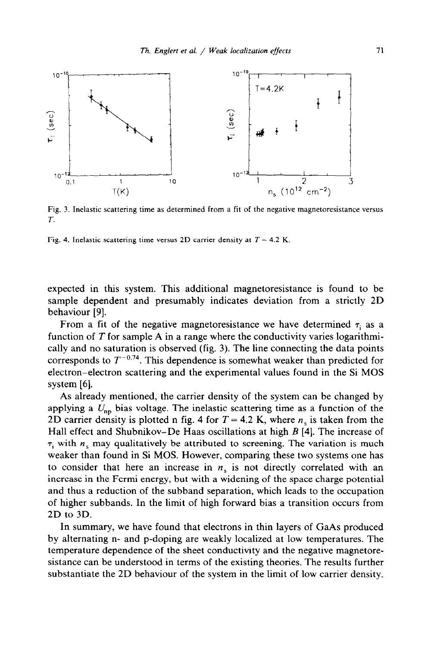

Fig. 3. Inelastic scattering time as determined from a fit of the negative magnetoresistance versus T.

Fig. 4. Inelastic scattering time versus 2D carrier density at *T =* 4.2 K.

expected in this system. This additional magnetoresistance is found to be sample dependent and presumably indicates deviation from a strictly 2D behaviour [9].

From a fit of the negative magnetoresistance we have determined  $\tau_i$  as a function of *T* for sample A in a range where the conductivity varies logarithmically and no saturation is observed (fig. 3). The line connecting the data points corresponds to  $T^{-0.74}$ . This dependence is somewhat weaker than predicted for electron-electron scattering and the experimental values found in the Si MOS system [6].

As already mentioned, the carrier density of the system can be changed by applying a  $U_{nn}$  bias voltage. The inelastic scattering time as a function of the 2D carrier density is plotted n fig. 4 for  $T = 4.2$  K, where  $n<sub>s</sub>$  is taken from the Hall effect and Shubnikov-De Haas oscillations at high *B* [4]. The increase of  $\tau_i$  with  $n_s$  may qualitatively be attributed to screening. The variation is much weaker than found in Si MOS. However, comparing these two systems one has to consider that here an increase in  $n<sub>s</sub>$  is not directly correlated with an increase in the Fermi energy, but with a widening of the space charge potential and thus a reduction of the subband separation, which leads to the occupation of higher subbands. In the limit of high forward bias a transition occurs from 2D to 3D.

In summary, we have found that electrons in thin layers of GaAs produced by alternating n- and p-doping are weakly localized at low temperatures. The temperature dependence of the sheet conductivity and the negative magnetoresistance can be understood in terms of the existing theories. The results further substantiate the 2D behaviour of the system in the limit of low carrier density.